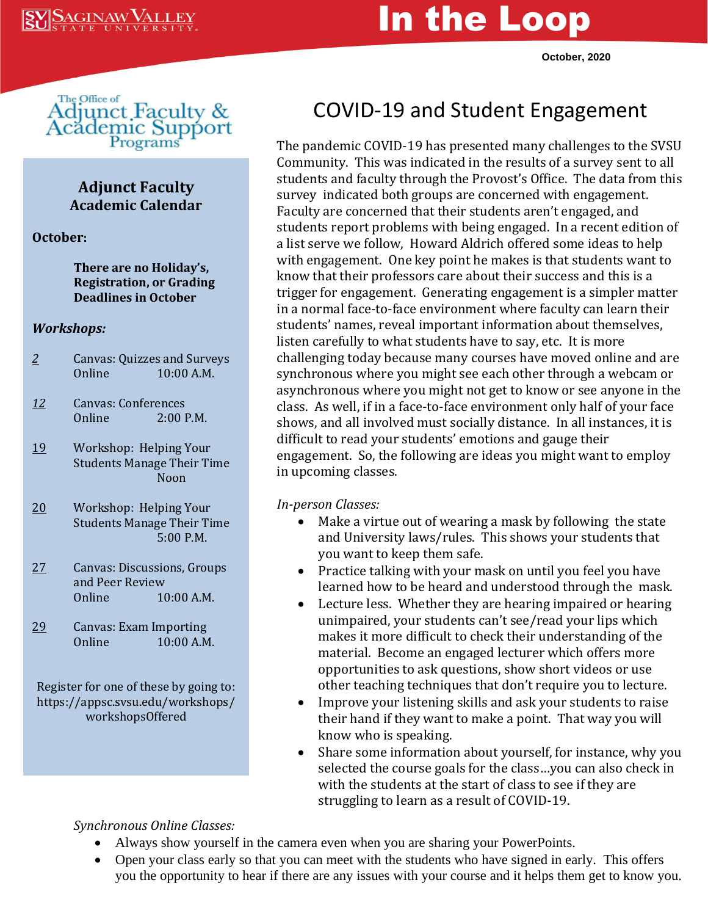# In the Loop

**October, 2020**



#### **Adjunct Faculty Academic Calendar**

**October:**

#### **There are no Holiday's, Registration, or Grading Deadlines in October**

#### *Workshops:*

- *2* Canvas: Quizzes and Surveys Online 10:00 A.M.
- *12* Canvas: Conferences Online 2:00 P.M.
- 19 Workshop: Helping Your Students Manage Their Time Noon
- 20 Workshop: Helping Your Students Manage Their Time 5:00 P.M.
- 27 Canvas: Discussions, Groups and Peer Review Online 10:00 A.M.
- 29 Canvas: Exam Importing Online 10:00 A.M.

Register for one of these by going to: https://appsc.svsu.edu/workshops/ workshopsOffered

## COVID-19 and Student Engagement

The pandemic COVID-19 has presented many challenges to the SVSU Community. This was indicated in the results of a survey sent to all students and faculty through the Provost's Office. The data from this survey indicated both groups are concerned with engagement. Faculty are concerned that their students aren't engaged, and students report problems with being engaged. In a recent edition of a list serve we follow, Howard Aldrich offered some ideas to help with engagement. One key point he makes is that students want to know that their professors care about their success and this is a trigger for engagement. Generating engagement is a simpler matter in a normal face-to-face environment where faculty can learn their students' names, reveal important information about themselves, listen carefully to what students have to say, etc. It is more challenging today because many courses have moved online and are synchronous where you might see each other through a webcam or asynchronous where you might not get to know or see anyone in the class. As well, if in a face-to-face environment only half of your face shows, and all involved must socially distance. In all instances, it is difficult to read your students' emotions and gauge their engagement. So, the following are ideas you might want to employ in upcoming classes.

*In-person Classes:*

- Make a virtue out of wearing a mask by following the state and University laws/rules. This shows your students that you want to keep them safe.
- Practice talking with your mask on until you feel you have learned how to be heard and understood through the mask.
- Lecture less. Whether they are hearing impaired or hearing unimpaired, your students can't see/read your lips which makes it more difficult to check their understanding of the material. Become an engaged lecturer which offers more opportunities to ask questions, show short videos or use other teaching techniques that don't require you to lecture.
- Improve your listening skills and ask your students to raise their hand if they want to make a point. That way you will know who is speaking.
- Share some information about yourself, for instance, why you selected the course goals for the class…you can also check in with the students at the start of class to see if they are struggling to learn as a result of COVID-19.

*Synchronous Online Classes:*

- Always show yourself in the camera even when you are sharing your PowerPoints.
- Open your class early so that you can meet with the students who have signed in early. This offers you the opportunity to hear if there are any issues with your course and it helps them get to know you.